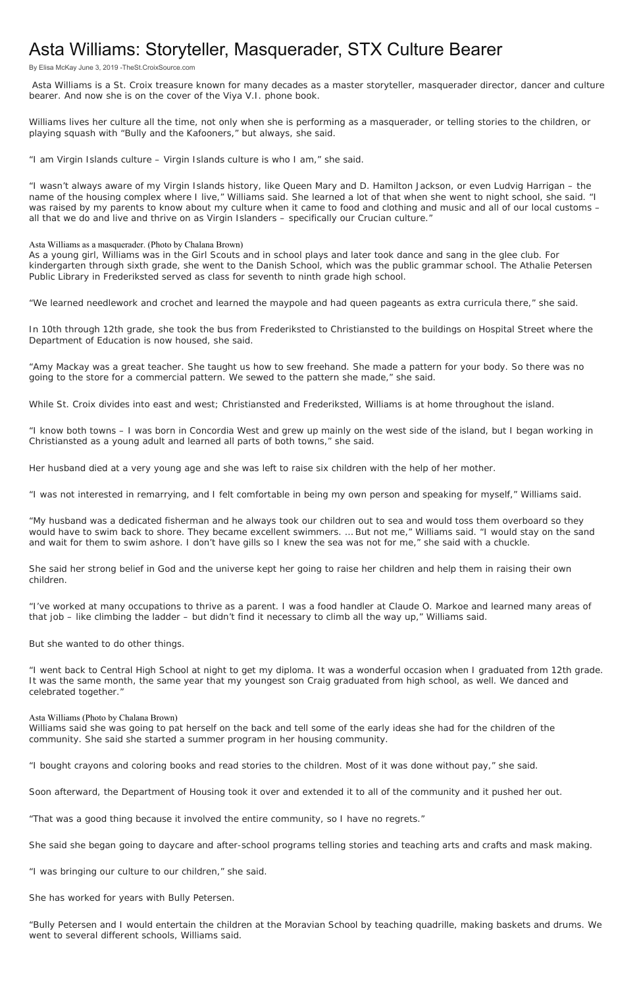## Asta Williams: Storyteller, Masquerader, STX Culture Bearer

By Elisa McKay June 3, 2019 -TheSt.CroixSource.com

 Asta Williams is a St. Croix treasure known for many decades as a master storyteller, masquerader director, dancer and culture bearer. And now she is on the cover of the Viya V.I. phone book.

Williams lives her culture all the time, not only when she is performing as a masquerader, or telling stories to the children, or playing squash with "Bully and the Kafooners," but always, she said.

"I am Virgin Islands culture – Virgin Islands culture is who I am," she said.

"I wasn't always aware of my Virgin Islands history, like Queen Mary and D. Hamilton Jackson, or even Ludvig Harrigan – the name of the housing complex where I live," Williams said. She learned a lot of that when she went to night school, she said. "I was raised by my parents to know about my culture when it came to food and clothing and music and all of our local customs – all that we do and live and thrive on as Virgin Islanders – specifically our Crucian culture."

## Asta Williams as a masquerader. (Photo by Chalana Brown)

As a young girl, Williams was in the Girl Scouts and in school plays and later took dance and sang in the glee club. For kindergarten through sixth grade, she went to the Danish School, which was the public grammar school. The Athalie Petersen Public Library in Frederiksted served as class for seventh to ninth grade high school.

"We learned needlework and crochet and learned the maypole and had queen pageants as extra curricula there," she said.

In 10th through 12th grade, she took the bus from Frederiksted to Christiansted to the buildings on Hospital Street where the Department of Education is now housed, she said.

"Amy Mackay was a great teacher. She taught us how to sew freehand. She made a pattern for your body. So there was no going to the store for a commercial pattern. We sewed to the pattern she made," she said.

While St. Croix divides into east and west; Christiansted and Frederiksted, Williams is at home throughout the island.

"I know both towns – I was born in Concordia West and grew up mainly on the west side of the island, but I began working in Christiansted as a young adult and learned all parts of both towns," she said.

Her husband died at a very young age and she was left to raise six children with the help of her mother.

"I was not interested in remarrying, and I felt comfortable in being my own person and speaking for myself," Williams said.

"My husband was a dedicated fisherman and he always took our children out to sea and would toss them overboard so they would have to swim back to shore. They became excellent swimmers. … But not me," Williams said. "I would stay on the sand and wait for them to swim ashore. I don't have gills so I knew the sea was not for me," she said with a chuckle.

She said her strong belief in God and the universe kept her going to raise her children and help them in raising their own children.

"I've worked at many occupations to thrive as a parent. I was a food handler at Claude O. Markoe and learned many areas of that job – like climbing the ladder – but didn't find it necessary to climb all the way up," Williams said.

But she wanted to do other things.

"I went back to Central High School at night to get my diploma. It was a wonderful occasion when I graduated from 12th grade. It was the same month, the same year that my youngest son Craig graduated from high school, as well. We danced and celebrated together."

## Asta Williams (Photo by Chalana Brown)

Williams said she was going to pat herself on the back and tell some of the early ideas she had for the children of the community. She said she started a summer program in her housing community.

"I bought crayons and coloring books and read stories to the children. Most of it was done without pay," she said.

Soon afterward, the Department of Housing took it over and extended it to all of the community and it pushed her out.

"That was a good thing because it involved the entire community, so I have no regrets."

She said she began going to daycare and after-school programs telling stories and teaching arts and crafts and mask making.

"I was bringing our culture to our children," she said.

She has worked for years with Bully Petersen.

"Bully Petersen and I would entertain the children at the Moravian School by teaching quadrille, making baskets and drums. We went to several different schools, Williams said.